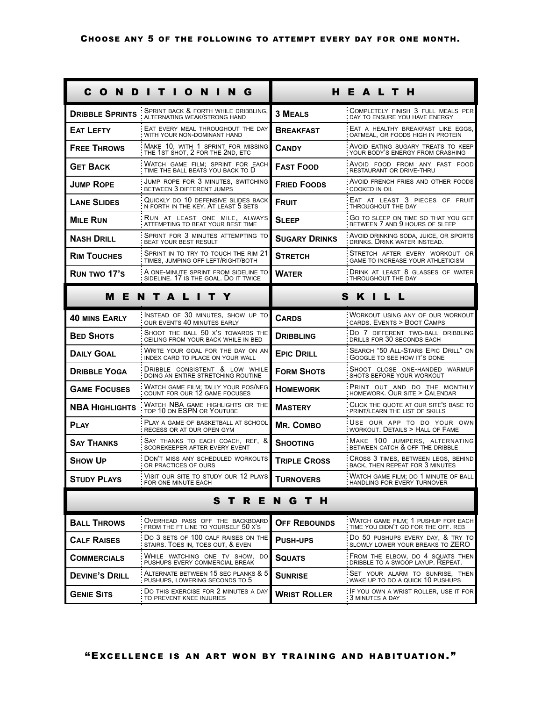| $\bullet$<br>N<br>D    | $\blacksquare$<br>N<br>$\mathbf{o}$<br>N<br>G                                 |                                                                                        | <b>H E A L T H</b>                                                        |  |  |  |  |  |  |  |
|------------------------|-------------------------------------------------------------------------------|----------------------------------------------------------------------------------------|---------------------------------------------------------------------------|--|--|--|--|--|--|--|
| <b>DRIBBLE SPRINTS</b> | SPRINT BACK & FORTH WHILE DRIBBLING,<br>ALTERNATING WEAK/STRONG HAND          | <b>3 MEALS</b>                                                                         | COMPLETELY FINISH 3 FULL MEALS PER<br>DAY TO ENSURE YOU HAVE ENERGY       |  |  |  |  |  |  |  |
| <b>EAT LEFTY</b>       | EAT EVERY MEAL THROUGHOUT THE DAY<br>WITH YOUR NON-DOMINANT HAND              | <b>BREAKFAST</b>                                                                       | EAT A HEALTHY BREAKFAST LIKE EGGS.<br>OATMEAL, OR FOODS HIGH IN PROTEIN   |  |  |  |  |  |  |  |
| <b>FREE THROWS</b>     | MAKE 10, WITH 1 SPRINT FOR MISSING<br>THE 1ST SHOT, 2 FOR THE 2ND, ETC        | <b>CANDY</b>                                                                           | AVOID EATING SUGARY TREATS TO KEEP<br>YOUR BODY'S ENERGY FROM CRASHING    |  |  |  |  |  |  |  |
| <b>GET BACK</b>        | WATCH GAME FILM; SPRINT FOR EACH<br>TIME THE BALL BEATS YOU BACK TO D         | AVOID FOOD FROM ANY FAST FOOD<br><b>FAST FOOD</b><br>RESTAURANT OR DRIVE-THRU          |                                                                           |  |  |  |  |  |  |  |
| <b>JUMP ROPE</b>       | JUMP ROPE FOR 3 MINUTES, SWITCHING<br><b>BETWEEN 3 DIFFERENT JUMPS</b>        | AVOID FRENCH FRIES AND OTHER FOODS<br><b>FRIED FOODS</b><br>COOKED IN OIL              |                                                                           |  |  |  |  |  |  |  |
| <b>LANE SLIDES</b>     | QUICKLY DO 10 DEFENSIVE SLIDES BACK<br>N FORTH IN THE KEY. AT LEAST 5 SETS    | <b>FRUIT</b>                                                                           | EAT AT LEAST 3 PIECES OF FRUIT<br>THROUGHOUT THE DAY                      |  |  |  |  |  |  |  |
| <b>MILE RUN</b>        | RUN AT LEAST ONE MILE, ALWAYS<br>ATTEMPTING TO BEAT YOUR BEST TIME            | <b>SLEEP</b>                                                                           | GO TO SLEEP ON TIME SO THAT YOU GET<br>BETWEEN 7 AND 9 HOURS OF SLEEP     |  |  |  |  |  |  |  |
| <b>NASH DRILL</b>      | Sprint for 3 minutes attempting to<br>BEAT YOUR BEST RESULT                   | <b>SUGARY DRINKS</b>                                                                   | AVOID DRINKING SODA, JUICE, OR SPORTS<br>DRINKS. DRINK WATER INSTEAD.     |  |  |  |  |  |  |  |
| <b>RIM TOUCHES</b>     | SPRINT IN TO TRY TO TOUCH THE RIM 21<br>TIMES, JUMPING OFF LEFT/RIGHT/BOTH    | <b>STRETCH</b>                                                                         | STRETCH AFTER EVERY WORKOUT OR<br>GAME TO INCREASE YOUR ATHLETICISM       |  |  |  |  |  |  |  |
| <b>RUN TWO 17'S</b>    | A ONE-MINUTE SPRINT FROM SIDELINE TO<br>SIDELINE. 17 IS THE GOAL. DO IT TWICE | DRINK AT LEAST 8 GLASSES OF WATER<br><b>WATER</b><br>THROUGHOUT THE DAY                |                                                                           |  |  |  |  |  |  |  |
|                        | <b>MENTALIT</b><br>Y                                                          | SKILL                                                                                  |                                                                           |  |  |  |  |  |  |  |
| <b>40 MINS EARLY</b>   | INSTEAD OF 30 MINUTES. SHOW UP TO<br>OUR EVENTS 40 MINUTES EARLY              | <b>CARDS</b>                                                                           | WORKOUT USING ANY OF OUR WORKOUT<br>CARDS. EVENTS > BOOT CAMPS            |  |  |  |  |  |  |  |
| <b>BED SHOTS</b>       | SHOOT THE BALL 50 X'S TOWARDS THE<br>CEILING FROM YOUR BACK WHILE IN BED      | <b>DRIBBLING</b>                                                                       | DO 7 DIFFERENT TWO-BALL DRIBBLING<br>DRILLS FOR 30 SECONDS EACH           |  |  |  |  |  |  |  |
| <b>DAILY GOAL</b>      | WRITE YOUR GOAL FOR THE DAY ON AN<br>INDEX CARD TO PLACE ON YOUR WALL         | <b>EPIC DRILL</b>                                                                      | SEARCH "50 ALL-STARS EPIC DRILL" ON<br>GOOGLE TO SEE HOW IT'S DONE        |  |  |  |  |  |  |  |
| <b>DRIBBLE YOGA</b>    | DRIBBLE CONSISTENT & LOW WHILE<br>DOING AN ENTIRE STRETCHING ROUTINE          | <b>FORM SHOTS</b>                                                                      | SHOOT CLOSE ONE-HANDED WARMUP<br>SHOTS BEFORE YOUR WORKOUT                |  |  |  |  |  |  |  |
| <b>GAME FOCUSES</b>    | WATCH GAME FILM; TALLY YOUR POS/NEG<br>COUNT FOR OUR 12 GAME FOCUSES          | <b>HOMEWORK</b>                                                                        | PRINT OUT AND DO THE MONTHLY<br>HOMEWORK. OUR SITE > CALENDAR             |  |  |  |  |  |  |  |
| <b>NBA HIGHLIGHTS</b>  | WATCH NBA GAME HIGHLIGHTS OR THE TOP 10 ON ESPN OR YOUTUBE                    | <b>MASTERY</b>                                                                         | CLICK THE QUOTE AT OUR SITE'S BASE TO<br>PRINT/LEARN THE LIST OF SKILLS   |  |  |  |  |  |  |  |
| <b>PLAY</b>            | PLAY A GAME OF BASKETBALL AT SCHOOL<br>RECESS OR AT OUR OPEN GYM              | <b>MR. COMBO</b>                                                                       | USE OUR APP TO DO YOUR OWN<br>WORKOUT. DETAILS > HALL OF FAME             |  |  |  |  |  |  |  |
| <b>SAY THANKS</b>      | SAY THANKS TO EACH COACH, REF, &<br>SCOREKEEPER AFTER EVERY EVENT             | <b>SHOOTING</b>                                                                        | MAKE 100 JUMPERS, ALTERNATING<br>BETWEEN CATCH & OFF THE DRIBBLE          |  |  |  |  |  |  |  |
| <b>SHOW UP</b>         | DON'T MISS ANY SCHEDULED WORKOUTS<br>OR PRACTICES OF OURS                     | <b>TRIPLE CROSS</b>                                                                    | CROSS 3 TIMES, BETWEEN LEGS, BEHIND<br>BACK, THEN REPEAT FOR 3 MINUTES    |  |  |  |  |  |  |  |
| <b>STUDY PLAYS</b>     | VISIT OUR SITE TO STUDY OUR 12 PLAYS<br>FOR ONE MINUTE EACH                   | <b>TURNOVERS</b>                                                                       | WATCH GAME FILM; DO 1 MINUTE OF BALL<br>HANDLING FOR EVERY TURNOVER       |  |  |  |  |  |  |  |
| STREN<br>G T H         |                                                                               |                                                                                        |                                                                           |  |  |  |  |  |  |  |
| <b>BALL THROWS</b>     | OVERHEAD PASS OFF THE BACKBOARD<br>FROM THE FT LINE TO YOURSELF 50 X'S        | <b>OFF REBOUNDS</b>                                                                    | WATCH GAME FILM; 1 PUSHUP FOR EACH<br>TIME YOU DIDN'T GO FOR THE OFF. REB |  |  |  |  |  |  |  |
| <b>CALF RAISES</b>     | DO 3 SETS OF 100 CALF RAISES ON THE<br>STAIRS. TOES IN, TOES OUT, & EVEN      | <b>PUSH-UPS</b>                                                                        | DO 50 PUSHUPS EVERY DAY, & TRY TO<br>SLOWLY LOWER YOUR BREAKS TO ZERO     |  |  |  |  |  |  |  |
| <b>COMMERCIALS</b>     | WHILE WATCHING ONE TV SHOW, DO<br>PUSHUPS EVERY COMMERCIAL BREAK              | FROM THE ELBOW, DO 4 SQUATS THEN<br><b>SQUATS</b><br>DRIBBLE TO A SWOOP LAYUP. REPEAT. |                                                                           |  |  |  |  |  |  |  |
| <b>DEVINE'S DRILL</b>  | ALTERNATE BETWEEN 15 SEC PLANKS & 5<br>PUSHUPS, LOWERING SECONDS TO 5         | <b>SUNRISE</b>                                                                         | SET YOUR ALARM TO SUNRISE, THEN<br>WAKE UP TO DO A QUICK 10 PUSHUPS       |  |  |  |  |  |  |  |
| <b>GENIE SITS</b>      | DO THIS EXERCISE FOR 2 MINUTES A DAY<br>TO PREVENT KNEE INJURIES              | <b>WRIST ROLLER</b>                                                                    | IF YOU OWN A WRIST ROLLER, USE IT FOR<br>3 MINUTES A DAY                  |  |  |  |  |  |  |  |